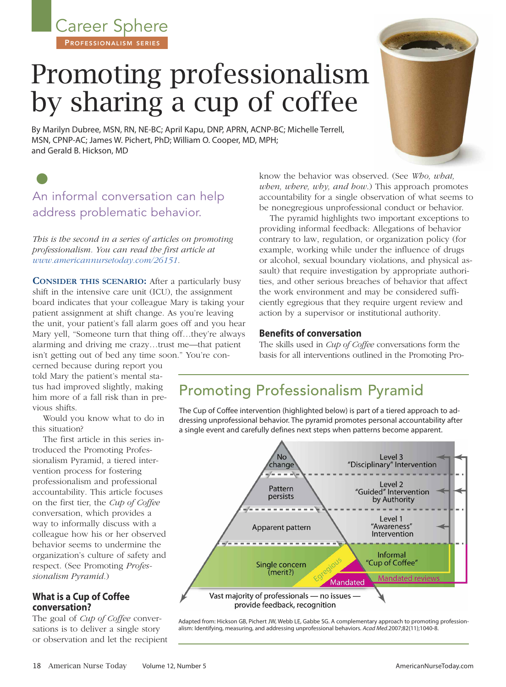Career Sphere PROFESSIONALISM SERIES

# Promoting professionalism by sharing a cup of coffee

By Marilyn Dubree, MSN, RN, NE-BC; April Kapu, DNP, APRN, ACNP-BC; Michelle Terrell, MSN, CPNP-AC; James W. Pichert, PhD; William O. Cooper, MD, MPH; and Gerald B. Hickson, MD

# • An informal conversation can help address problematic behavior.

*This is the second in a series of articles on promoting professionalism. You can read the first article at www.americannursetoday.com/26151.*

**CONSIDER THIS SCENARIO:** After a particularly busy shift in the intensive care unit (ICU), the assignment board indicates that your colleague Mary is taking your patient assignment at shift change. As you're leaving the unit, your patient's fall alarm goes off and you hear Mary yell, "Someone turn that thing off…they're always alarming and driving me crazy…trust me—that patient isn't getting out of bed any time soon." You're con-

cerned because during report you told Mary the patient's mental status had improved slightly, making him more of a fall risk than in previous shifts.

Would you know what to do in this situation?

The first article in this series introduced the Promoting Professionalism Pyramid, a tiered intervention process for fostering professionalism and professional accountability. This article focuses on the first tier, the *Cup of Coffee* conversation, which provides a way to informally discuss with a colleague how his or her observed behavior seems to undermine the organization's culture of safety and respect. (See Promoting *Professionalism Pyramid*.)

## **What is a Cup of Coffee conversation?**

The goal of *Cup of Coffee* conversations is to deliver a single story or observation and let the recipient know the behavior was observed. (See *Who, what, when, where, why, and how*.) This approach promotes accountability for a single observation of what seems to be nonegregious unprofessional conduct or behavior.

The pyramid highlights two important exceptions to providing informal feedback: Allegations of behavior contrary to law, regulation, or organization policy (for example, working while under the influence of drugs or alcohol, sexual boundary violations, and physical assault) that require investigation by appropriate authorities, and other serious breaches of behavior that affect the work environment and may be considered sufficiently egregious that they require urgent review and action by a supervisor or institutional authority.

### **Benefits of conversation**

The skills used in *Cup of Coffee* conversations form the basis for all interventions outlined in the Promoting Pro-

## Promoting Professionalism Pyramid

The Cup of Coffee intervention (highlighted below) is part of a tiered approach to addressing unprofessional behavior. The pyramid promotes personal accountability after a single event and carefully defines next steps when patterns become apparent.



Adapted from: Hickson GB, Pichert JW, Webb LE, Gabbe SG. A complementary approach to promoting professionalism: Identifying, measuring, and addressing unprofessional behaviors. *Acad Med*.2007;82(11);1040-8.